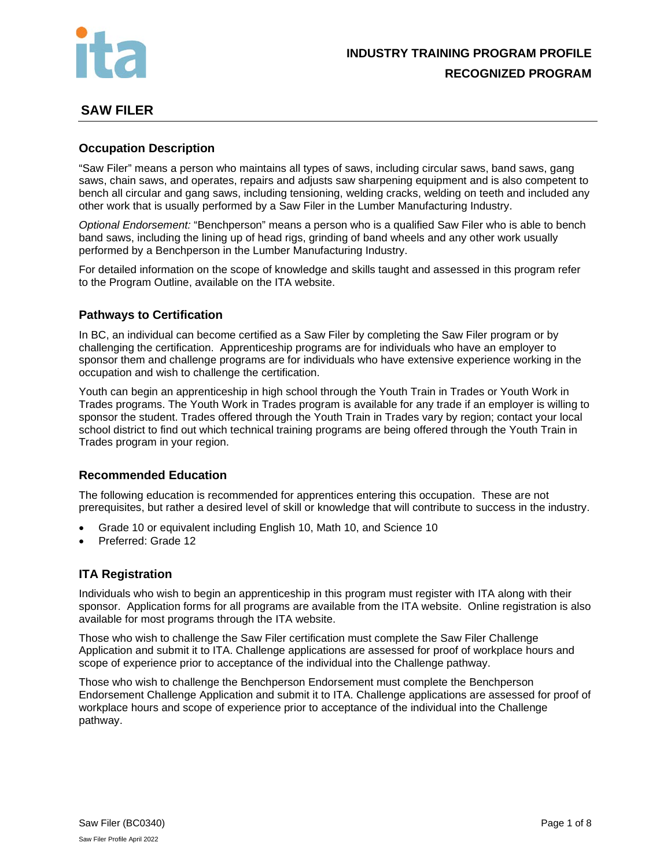

# **SAW FILER**

# **Occupation Description**

"Saw Filer" means a person who maintains all types of saws, including circular saws, band saws, gang saws, chain saws, and operates, repairs and adjusts saw sharpening equipment and is also competent to bench all circular and gang saws, including tensioning, welding cracks, welding on teeth and included any other work that is usually performed by a Saw Filer in the Lumber Manufacturing Industry.

*Optional Endorsement:* "Benchperson" means a person who is a qualified Saw Filer who is able to bench band saws, including the lining up of head rigs, grinding of band wheels and any other work usually performed by a Benchperson in the Lumber Manufacturing Industry.

For detailed information on the scope of knowledge and skills taught and assessed in this program refer to the Program Outline, available on the ITA website.

# **Pathways to Certification**

In BC, an individual can become certified as a Saw Filer by completing the Saw Filer program or by challenging the certification. Apprenticeship programs are for individuals who have an employer to sponsor them and challenge programs are for individuals who have extensive experience working in the occupation and wish to challenge the certification.

Youth can begin an apprenticeship in high school through the Youth Train in Trades or Youth Work in Trades programs. The Youth Work in Trades program is available for any trade if an employer is willing to sponsor the student. Trades offered through the Youth Train in Trades vary by region; contact your local school district to find out which technical training programs are being offered through the Youth Train in Trades program in your region.

# **Recommended Education**

The following education is recommended for apprentices entering this occupation. These are not prerequisites, but rather a desired level of skill or knowledge that will contribute to success in the industry.

- Grade 10 or equivalent including English 10, Math 10, and Science 10
- Preferred: Grade 12

# **ITA Registration**

Individuals who wish to begin an apprenticeship in this program must register with ITA along with their sponsor. Application forms for all programs are available from the ITA website. Online registration is also available for most programs through the ITA website.

Those who wish to challenge the Saw Filer certification must complete the Saw Filer Challenge Application and submit it to ITA. Challenge applications are assessed for proof of workplace hours and scope of experience prior to acceptance of the individual into the Challenge pathway.

Those who wish to challenge the Benchperson Endorsement must complete the Benchperson Endorsement Challenge Application and submit it to ITA. Challenge applications are assessed for proof of workplace hours and scope of experience prior to acceptance of the individual into the Challenge pathway.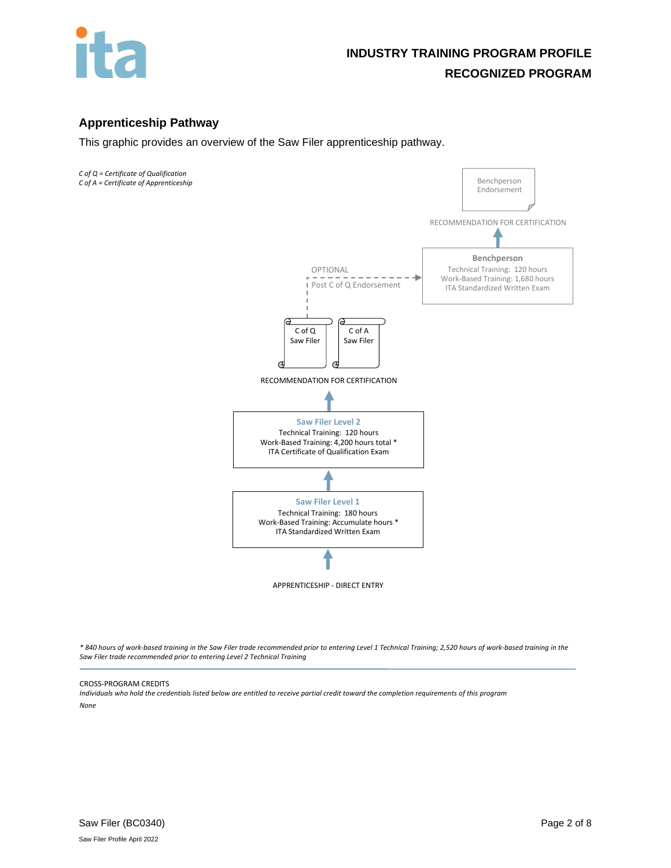

# **Apprenticeship Pathway**

This graphic provides an overview of the Saw Filer apprenticeship pathway.

*C of Q = Certificate of Qualification C of A = Certificate of Apprenticeship*



*\* 840 hours of work-based training in the Saw Filer trade recommended prior to entering Level 1 Technical Training; 2,520 hours of work-based training in the Saw Filer trade recommended prior to entering Level 2 Technical Training*

#### CROSS-PROGRAM CREDITS

*Individuals who hold the credentials listed below are entitled to receive partial credit toward the completion requirements of this program None*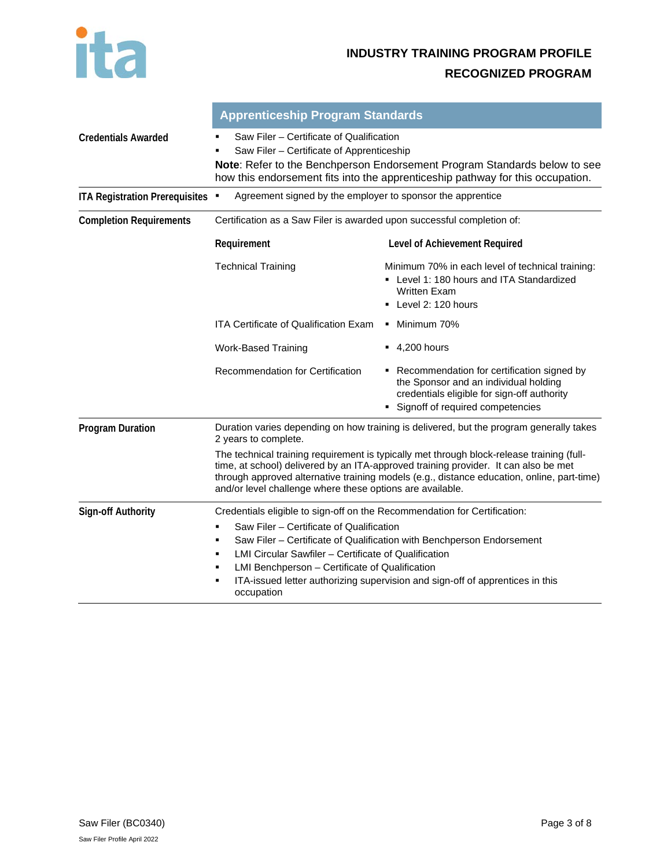

|                                       | <b>Apprenticeship Program Standards</b>                                                                                                                                                                                                                                                                                                                                                                 |                                                                                                                                                                          |  |
|---------------------------------------|---------------------------------------------------------------------------------------------------------------------------------------------------------------------------------------------------------------------------------------------------------------------------------------------------------------------------------------------------------------------------------------------------------|--------------------------------------------------------------------------------------------------------------------------------------------------------------------------|--|
| <b>Credentials Awarded</b>            | Saw Filer - Certificate of Qualification<br>Saw Filer - Certificate of Apprenticeship<br>Note: Refer to the Benchperson Endorsement Program Standards below to see<br>how this endorsement fits into the apprenticeship pathway for this occupation.                                                                                                                                                    |                                                                                                                                                                          |  |
| <b>ITA Registration Prerequisites</b> | Agreement signed by the employer to sponsor the apprentice                                                                                                                                                                                                                                                                                                                                              |                                                                                                                                                                          |  |
| <b>Completion Requirements</b>        | Certification as a Saw Filer is awarded upon successful completion of:                                                                                                                                                                                                                                                                                                                                  |                                                                                                                                                                          |  |
|                                       | Requirement                                                                                                                                                                                                                                                                                                                                                                                             | Level of Achievement Required                                                                                                                                            |  |
|                                       | <b>Technical Training</b>                                                                                                                                                                                                                                                                                                                                                                               | Minimum 70% in each level of technical training:<br>• Level 1: 180 hours and ITA Standardized<br>Written Exam<br>• Level 2: 120 hours                                    |  |
|                                       | <b>ITA Certificate of Qualification Exam</b>                                                                                                                                                                                                                                                                                                                                                            | • Minimum 70%                                                                                                                                                            |  |
|                                       | <b>Work-Based Training</b>                                                                                                                                                                                                                                                                                                                                                                              | $-4,200$ hours                                                                                                                                                           |  |
|                                       | Recommendation for Certification                                                                                                                                                                                                                                                                                                                                                                        | • Recommendation for certification signed by<br>the Sponsor and an individual holding<br>credentials eligible for sign-off authority<br>Signoff of required competencies |  |
| <b>Program Duration</b>               | Duration varies depending on how training is delivered, but the program generally takes<br>2 years to complete.                                                                                                                                                                                                                                                                                         |                                                                                                                                                                          |  |
|                                       | The technical training requirement is typically met through block-release training (full-<br>time, at school) delivered by an ITA-approved training provider. It can also be met<br>through approved alternative training models (e.g., distance education, online, part-time)<br>and/or level challenge where these options are available.                                                             |                                                                                                                                                                          |  |
| <b>Sign-off Authority</b>             | Credentials eligible to sign-off on the Recommendation for Certification:<br>Saw Filer - Certificate of Qualification<br>Saw Filer - Certificate of Qualification with Benchperson Endorsement<br>LMI Circular Sawfiler – Certificate of Qualification<br>LMI Benchperson - Certificate of Qualification<br>ITA-issued letter authorizing supervision and sign-off of apprentices in this<br>occupation |                                                                                                                                                                          |  |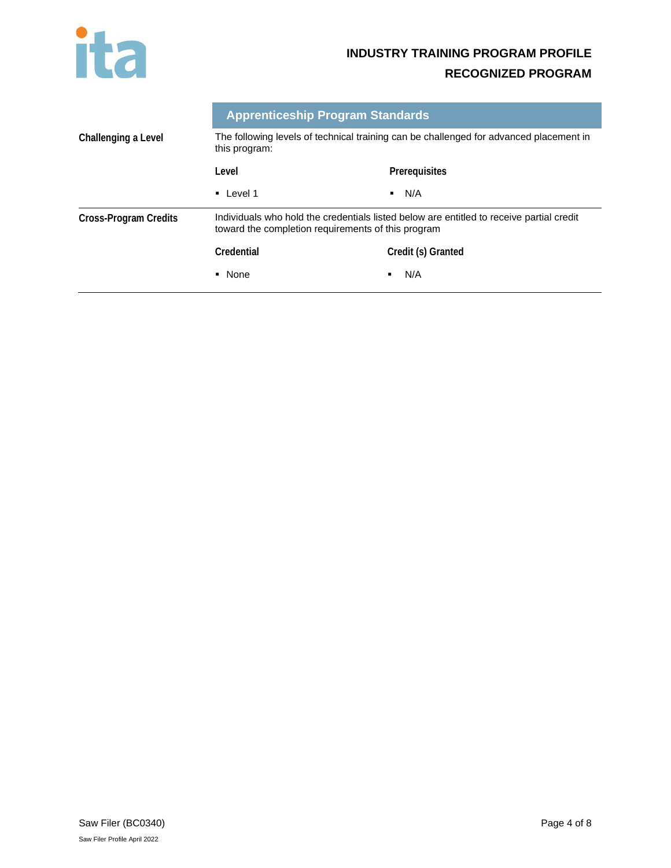

# **INDUSTRY TRAINING PROGRAM PROFILE**

# **RECOGNIZED PROGRAM**

|                              | <b>Apprenticeship Program Standards</b>                                                                                                        |                       |
|------------------------------|------------------------------------------------------------------------------------------------------------------------------------------------|-----------------------|
| Challenging a Level          | The following levels of technical training can be challenged for advanced placement in<br>this program:                                        |                       |
|                              | Level                                                                                                                                          | Prerequisites         |
|                              | $\blacksquare$ Level 1                                                                                                                         | N/A<br>$\blacksquare$ |
| <b>Cross-Program Credits</b> | Individuals who hold the credentials listed below are entitled to receive partial credit<br>toward the completion requirements of this program |                       |
|                              | Credential                                                                                                                                     | Credit (s) Granted    |
|                              | • None                                                                                                                                         | N/A<br>٠              |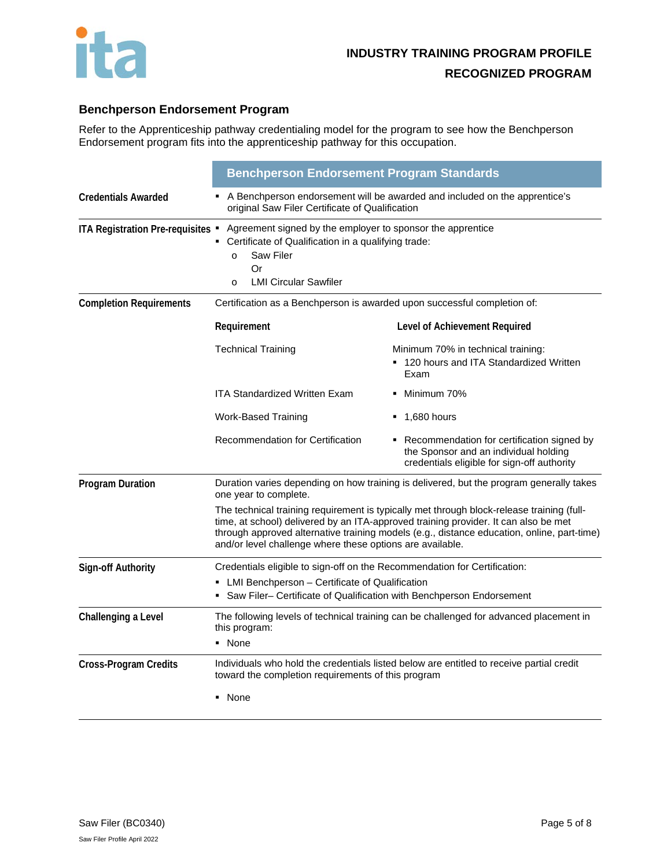

# **Benchperson Endorsement Program**

Refer to the Apprenticeship pathway credentialing model for the program to see how the Benchperson Endorsement program fits into the apprenticeship pathway for this occupation.

|                                   | <b>Benchperson Endorsement Program Standards</b>                                                                                                                                                                                                                                                                                            |                                                                                                                                      |  |
|-----------------------------------|---------------------------------------------------------------------------------------------------------------------------------------------------------------------------------------------------------------------------------------------------------------------------------------------------------------------------------------------|--------------------------------------------------------------------------------------------------------------------------------------|--|
| <b>Credentials Awarded</b>        | A Benchperson endorsement will be awarded and included on the apprentice's<br>original Saw Filer Certificate of Qualification                                                                                                                                                                                                               |                                                                                                                                      |  |
| ITA Registration Pre-requisites . | Agreement signed by the employer to sponsor the apprentice<br>Certificate of Qualification in a qualifying trade:<br>Saw Filer<br>$\Omega$<br>Or<br><b>LMI Circular Sawfiler</b><br>$\Omega$                                                                                                                                                |                                                                                                                                      |  |
| <b>Completion Requirements</b>    | Certification as a Benchperson is awarded upon successful completion of:                                                                                                                                                                                                                                                                    |                                                                                                                                      |  |
|                                   | Requirement                                                                                                                                                                                                                                                                                                                                 | Level of Achievement Required                                                                                                        |  |
|                                   | <b>Technical Training</b>                                                                                                                                                                                                                                                                                                                   | Minimum 70% in technical training:<br>• 120 hours and ITA Standardized Written<br>Exam                                               |  |
|                                   | <b>ITA Standardized Written Exam</b>                                                                                                                                                                                                                                                                                                        | Minimum 70%                                                                                                                          |  |
|                                   | Work-Based Training                                                                                                                                                                                                                                                                                                                         | $\blacksquare$ 1,680 hours                                                                                                           |  |
|                                   | Recommendation for Certification                                                                                                                                                                                                                                                                                                            | • Recommendation for certification signed by<br>the Sponsor and an individual holding<br>credentials eligible for sign-off authority |  |
| <b>Program Duration</b>           | Duration varies depending on how training is delivered, but the program generally takes<br>one year to complete.                                                                                                                                                                                                                            |                                                                                                                                      |  |
|                                   | The technical training requirement is typically met through block-release training (full-<br>time, at school) delivered by an ITA-approved training provider. It can also be met<br>through approved alternative training models (e.g., distance education, online, part-time)<br>and/or level challenge where these options are available. |                                                                                                                                      |  |
| <b>Sign-off Authority</b>         | Credentials eligible to sign-off on the Recommendation for Certification:<br>• LMI Benchperson – Certificate of Qualification<br>Saw Filer- Certificate of Qualification with Benchperson Endorsement                                                                                                                                       |                                                                                                                                      |  |
| Challenging a Level               | The following levels of technical training can be challenged for advanced placement in<br>this program:<br>• None                                                                                                                                                                                                                           |                                                                                                                                      |  |
| <b>Cross-Program Credits</b>      | Individuals who hold the credentials listed below are entitled to receive partial credit<br>toward the completion requirements of this program<br>• None                                                                                                                                                                                    |                                                                                                                                      |  |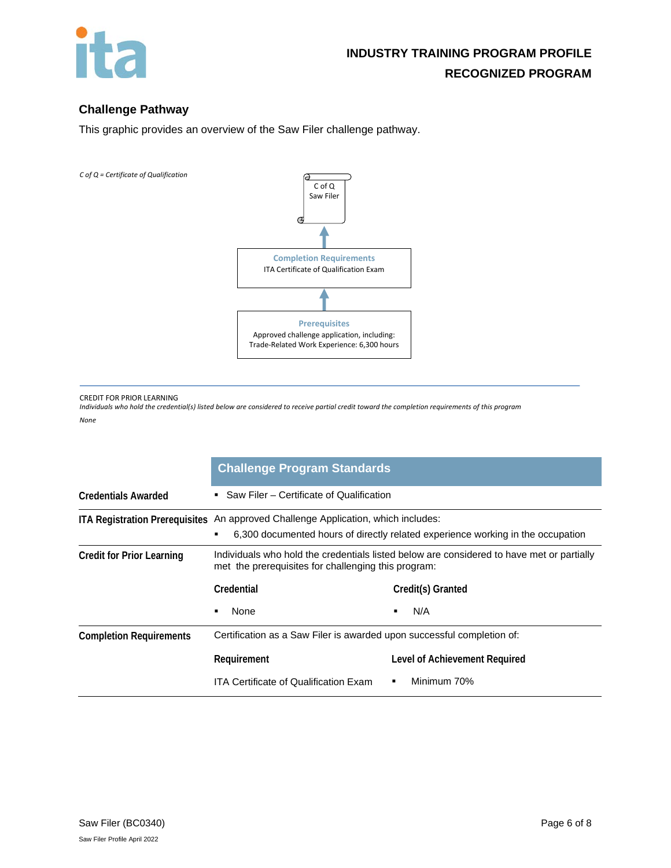

# **Challenge Pathway**

This graphic provides an overview of the Saw Filer challenge pathway.

*C of Q = Certificate of Qualification* 



CREDIT FOR PRIOR LEARNING

*Individuals who hold the credential(s) listed below are considered to receive partial credit toward the completion requirements of this program*

*None*

|                                  | <b>Challenge Program Standards</b>                                                                                                                                        |                               |  |
|----------------------------------|---------------------------------------------------------------------------------------------------------------------------------------------------------------------------|-------------------------------|--|
| <b>Credentials Awarded</b>       | Saw Filer - Certificate of Qualification<br>٠.                                                                                                                            |                               |  |
|                                  | ITA Registration Prerequisites An approved Challenge Application, which includes:<br>6,300 documented hours of directly related experience working in the occupation<br>٠ |                               |  |
| <b>Credit for Prior Learning</b> | Individuals who hold the credentials listed below are considered to have met or partially<br>met the prerequisites for challenging this program:                          |                               |  |
|                                  | Credential                                                                                                                                                                | Credit(s) Granted             |  |
|                                  | None<br>$\blacksquare$                                                                                                                                                    | N/A                           |  |
| <b>Completion Requirements</b>   | Certification as a Saw Filer is awarded upon successful completion of:                                                                                                    |                               |  |
|                                  | Requirement                                                                                                                                                               | Level of Achievement Required |  |
|                                  | ITA Certificate of Qualification Exam                                                                                                                                     | Minimum 70%                   |  |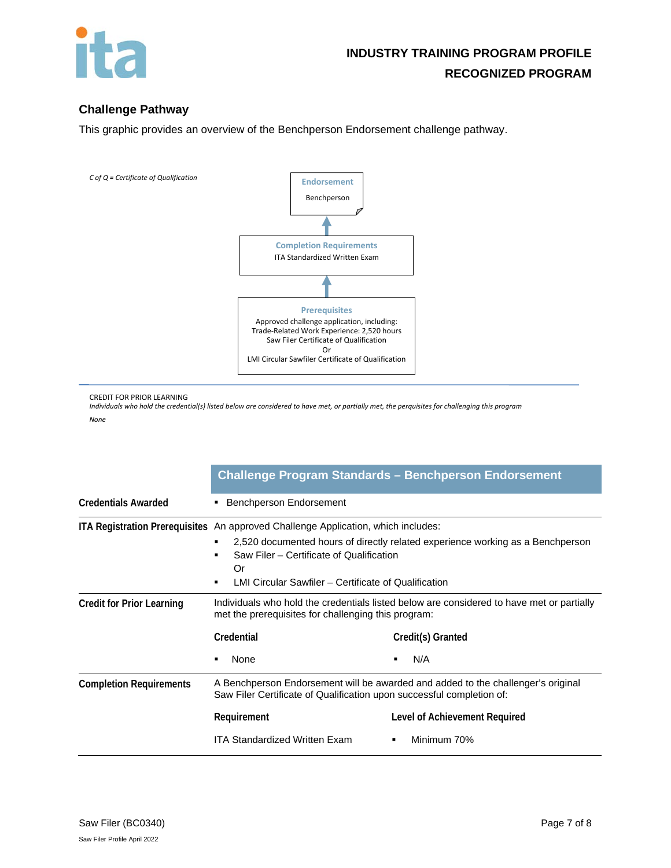

# **Challenge Pathway**

This graphic provides an overview of the Benchperson Endorsement challenge pathway.



CREDIT FOR PRIOR LEARNING

*Individuals who hold the credential(s) listed below are considered to have met, or partially met, the perquisites for challenging this program None*

|                                  |                                                                                                                                                                                                                                                                               | <b>Challenge Program Standards - Benchperson Endorsement</b>                                                          |  |
|----------------------------------|-------------------------------------------------------------------------------------------------------------------------------------------------------------------------------------------------------------------------------------------------------------------------------|-----------------------------------------------------------------------------------------------------------------------|--|
| <b>Credentials Awarded</b>       | Benchperson Endorsement                                                                                                                                                                                                                                                       |                                                                                                                       |  |
|                                  | ITA Registration Prerequisites An approved Challenge Application, which includes:<br>2,520 documented hours of directly related experience working as a Benchperson<br>Saw Filer - Certificate of Qualification<br>Or<br>LMI Circular Sawfiler - Certificate of Qualification |                                                                                                                       |  |
| <b>Credit for Prior Learning</b> | met the prerequisites for challenging this program:<br>Credential<br>None                                                                                                                                                                                                     | Individuals who hold the credentials listed below are considered to have met or partially<br>Credit(s) Granted<br>N/A |  |
| <b>Completion Requirements</b>   | A Benchperson Endorsement will be awarded and added to the challenger's original<br>Saw Filer Certificate of Qualification upon successful completion of:<br>Requirement<br>Level of Achievement Required<br>Minimum 70%<br><b>ITA Standardized Written Exam</b>              |                                                                                                                       |  |